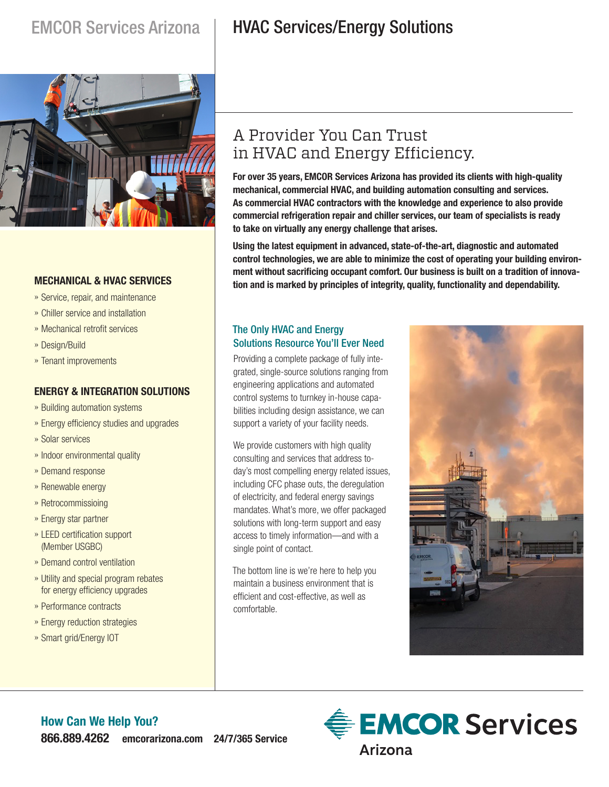

### **MECHANICAL & HVAC SERVICES**

- » Service, repair, and maintenance
- » Chiller service and installation
- » Mechanical retrofit services
- » Design/Build
- » Tenant improvements

### **ENERGY & INTEGRATION SOLUTIONS**

- » Building automation systems
- » Energy efficiency studies and upgrades
- » Solar services
- » Indoor environmental quality
- » Demand response
- » Renewable energy
- » Retrocommissioing
- » Energy star partner
- » LEED certification support (Member USGBC)
- » Demand control ventilation
- » Utility and special program rebates for energy efficiency upgrades
- » Performance contracts
- » Energy reduction strategies
- » Smart grid/Energy IOT

# EMCOR Services Arizona | HVAC Services/Energy Solutions

## A Provider You Can Trust in HVAC and Energy Efficiency.

**For over 35 years, EMCOR Services Arizona has provided its clients with high-quality mechanical, commercial HVAC, and building automation consulting and services. As commercial HVAC contractors with the knowledge and experience to also provide commercial refrigeration repair and chiller services, our team of specialists is ready to take on virtually any energy challenge that arises.**

**Using the latest equipment in advanced, state-of-the-art, diagnostic and automated control technologies, we are able to minimize the cost of operating your building environment without sacrificing occupant comfort. Our business is built on a tradition of innovation and is marked by principles of integrity, quality, functionality and dependability.**

### The Only HVAC and Energy Solutions Resource You'll Ever Need

Providing a complete package of fully integrated, single-source solutions ranging from engineering applications and automated control systems to turnkey in-house capabilities including design assistance, we can support a variety of your facility needs.

We provide customers with high quality consulting and services that address today's most compelling energy related issues, including CFC phase outs, the deregulation of electricity, and federal energy savings mandates. What's more, we offer packaged solutions with long-term support and easy access to timely information—and with a single point of contact.

The bottom line is we're here to help you maintain a business environment that is efficient and cost-effective, as well as comfortable.



### **How Can We Help You? 866.889.4262 emcorarizona.com 24/7/365 Service**